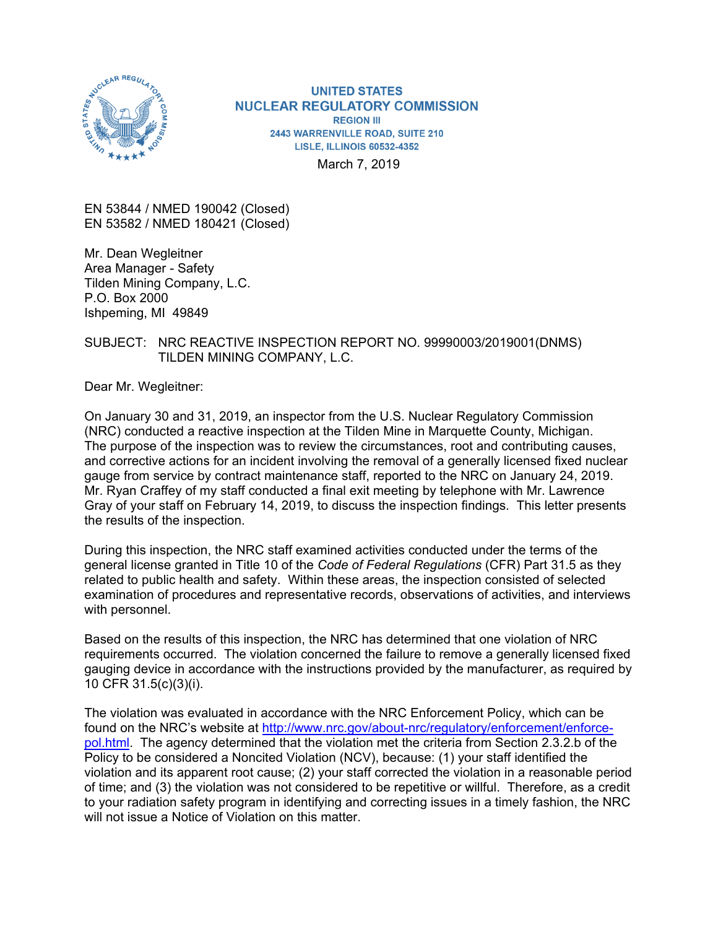

**UNITED STATES NUCLEAR REGULATORY COMMISSION REGION III** 2443 WARRENVILLE ROAD, SUITE 210 **LISLE. ILLINOIS 60532-4352** March 7, 2019

EN 53844 / NMED 190042 (Closed) EN 53582 / NMED 180421 (Closed)

Mr. Dean Wegleitner Area Manager - Safety Tilden Mining Company, L.C. P.O. Box 2000 Ishpeming, MI 49849

### SUBJECT: NRC REACTIVE INSPECTION REPORT NO. 99990003/2019001(DNMS) TILDEN MINING COMPANY, L.C.

Dear Mr. Wegleitner:

On January 30 and 31, 2019, an inspector from the U.S. Nuclear Regulatory Commission (NRC) conducted a reactive inspection at the Tilden Mine in Marquette County, Michigan. The purpose of the inspection was to review the circumstances, root and contributing causes, and corrective actions for an incident involving the removal of a generally licensed fixed nuclear gauge from service by contract maintenance staff, reported to the NRC on January 24, 2019. Mr. Ryan Craffey of my staff conducted a final exit meeting by telephone with Mr. Lawrence Gray of your staff on February 14, 2019, to discuss the inspection findings. This letter presents the results of the inspection.

During this inspection, the NRC staff examined activities conducted under the terms of the general license granted in Title 10 of the *Code of Federal Regulations* (CFR) Part 31.5 as they related to public health and safety. Within these areas, the inspection consisted of selected examination of procedures and representative records, observations of activities, and interviews with personnel.

Based on the results of this inspection, the NRC has determined that one violation of NRC requirements occurred. The violation concerned the failure to remove a generally licensed fixed gauging device in accordance with the instructions provided by the manufacturer, as required by 10 CFR 31.5(c)(3)(i).

The violation was evaluated in accordance with the NRC Enforcement Policy, which can be found on the NRC's website at http://www.nrc.gov/about-nrc/regulatory/enforcement/enforcepol.html. The agency determined that the violation met the criteria from Section 2.3.2.b of the Policy to be considered a Noncited Violation (NCV), because: (1) your staff identified the violation and its apparent root cause; (2) your staff corrected the violation in a reasonable period of time; and (3) the violation was not considered to be repetitive or willful. Therefore, as a credit to your radiation safety program in identifying and correcting issues in a timely fashion, the NRC will not issue a Notice of Violation on this matter.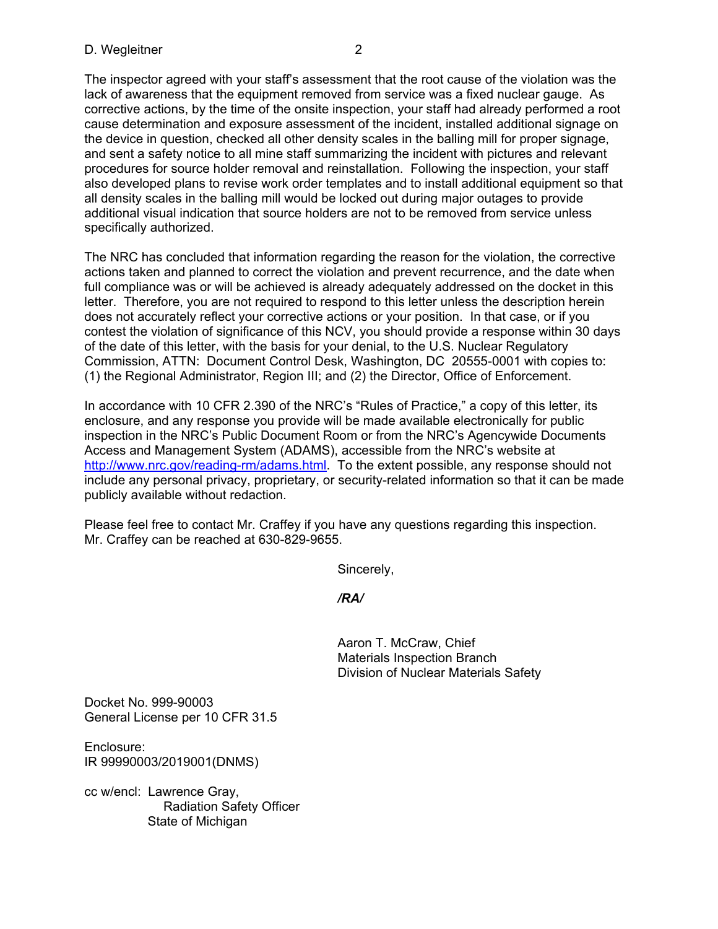The inspector agreed with your staff's assessment that the root cause of the violation was the lack of awareness that the equipment removed from service was a fixed nuclear gauge. As corrective actions, by the time of the onsite inspection, your staff had already performed a root cause determination and exposure assessment of the incident, installed additional signage on the device in question, checked all other density scales in the balling mill for proper signage, and sent a safety notice to all mine staff summarizing the incident with pictures and relevant procedures for source holder removal and reinstallation. Following the inspection, your staff also developed plans to revise work order templates and to install additional equipment so that all density scales in the balling mill would be locked out during major outages to provide additional visual indication that source holders are not to be removed from service unless specifically authorized.

The NRC has concluded that information regarding the reason for the violation, the corrective actions taken and planned to correct the violation and prevent recurrence, and the date when full compliance was or will be achieved is already adequately addressed on the docket in this letter. Therefore, you are not required to respond to this letter unless the description herein does not accurately reflect your corrective actions or your position. In that case, or if you contest the violation of significance of this NCV, you should provide a response within 30 days of the date of this letter, with the basis for your denial, to the U.S. Nuclear Regulatory Commission, ATTN: Document Control Desk, Washington, DC 20555-0001 with copies to: (1) the Regional Administrator, Region III; and (2) the Director, Office of Enforcement.

In accordance with 10 CFR 2.390 of the NRC's "Rules of Practice," a copy of this letter, its enclosure, and any response you provide will be made available electronically for public inspection in the NRC's Public Document Room or from the NRC's Agencywide Documents Access and Management System (ADAMS), accessible from the NRC's website at http://www.nrc.gov/reading-rm/adams.html. To the extent possible, any response should not include any personal privacy, proprietary, or security-related information so that it can be made publicly available without redaction.

Please feel free to contact Mr. Craffey if you have any questions regarding this inspection. Mr. Craffey can be reached at 630-829-9655.

Sincerely,

*/RA/*

Aaron T. McCraw, Chief Materials Inspection Branch Division of Nuclear Materials Safety

Docket No. 999-90003 General License per 10 CFR 31.5

Enclosure: IR 99990003/2019001(DNMS)

cc w/encl: Lawrence Gray, Radiation Safety Officer State of Michigan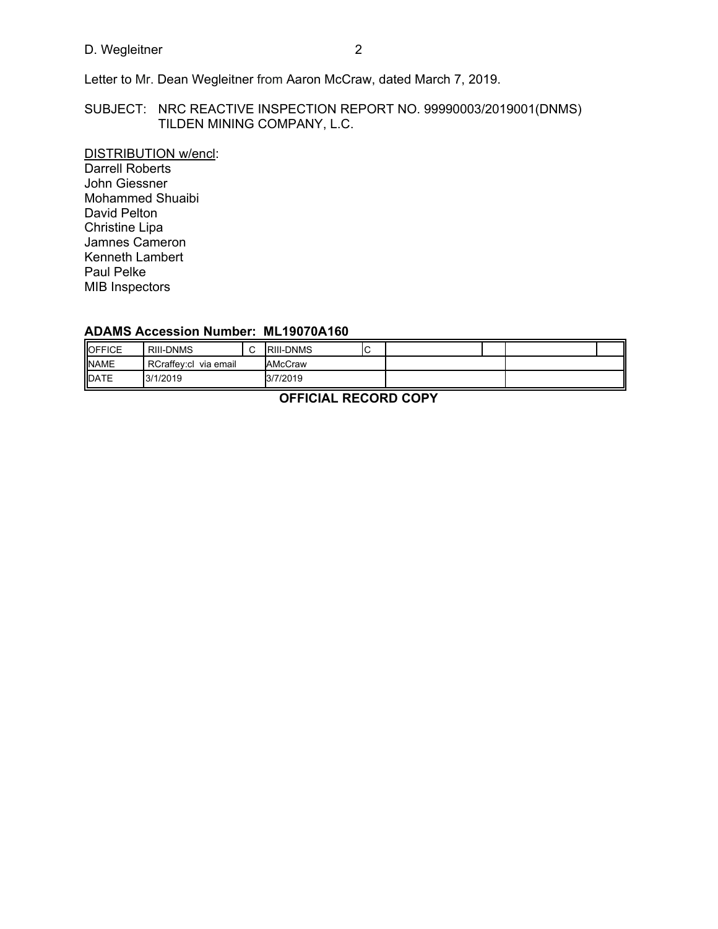# D. Wegleitner 2

Letter to Mr. Dean Wegleitner from Aaron McCraw, dated March 7, 2019.

## SUBJECT: NRC REACTIVE INSPECTION REPORT NO. 99990003/2019001(DNMS) TILDEN MINING COMPANY, L.C.

DISTRIBUTION w/encl: Darrell Roberts John Giessner Mohammed Shuaibi David Pelton Christine Lipa Jamnes Cameron Kenneth Lambert Paul Pelke MIB Inspectors

## **ADAMS Accession Number: ML19070A160**

| OFFICE      | <b>RIII-DNMS</b>         | $\sim$<br>ັ | <b>RIII-DNMS</b> | ◡ |  |  |
|-------------|--------------------------|-------------|------------------|---|--|--|
| <b>NAME</b> | RCraffev:cl<br>via email |             | AMcCraw          |   |  |  |
| <b>DATE</b> | 3/1/2019                 |             | 3/7/2019         |   |  |  |

**OFFICIAL RECORD COPY**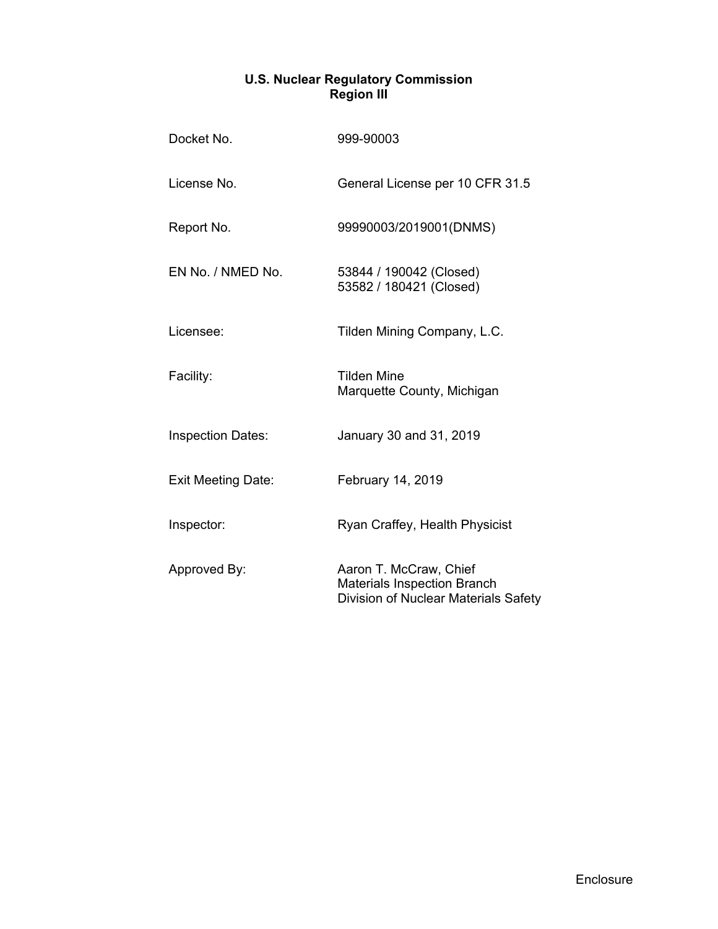## **U.S. Nuclear Regulatory Commission Region III**

| Docket No.                | 999-90003                                                                                            |  |  |  |  |
|---------------------------|------------------------------------------------------------------------------------------------------|--|--|--|--|
| License No.               | General License per 10 CFR 31.5                                                                      |  |  |  |  |
| Report No.                | 99990003/2019001(DNMS)                                                                               |  |  |  |  |
| EN No. / NMED No.         | 53844 / 190042 (Closed)<br>53582 / 180421 (Closed)                                                   |  |  |  |  |
| Licensee:                 | Tilden Mining Company, L.C.                                                                          |  |  |  |  |
| Facility:                 | <b>Tilden Mine</b><br>Marquette County, Michigan                                                     |  |  |  |  |
| <b>Inspection Dates:</b>  | January 30 and 31, 2019                                                                              |  |  |  |  |
| <b>Exit Meeting Date:</b> | February 14, 2019                                                                                    |  |  |  |  |
| Inspector:                | Ryan Craffey, Health Physicist                                                                       |  |  |  |  |
| Approved By:              | Aaron T. McCraw, Chief<br><b>Materials Inspection Branch</b><br>Division of Nuclear Materials Safety |  |  |  |  |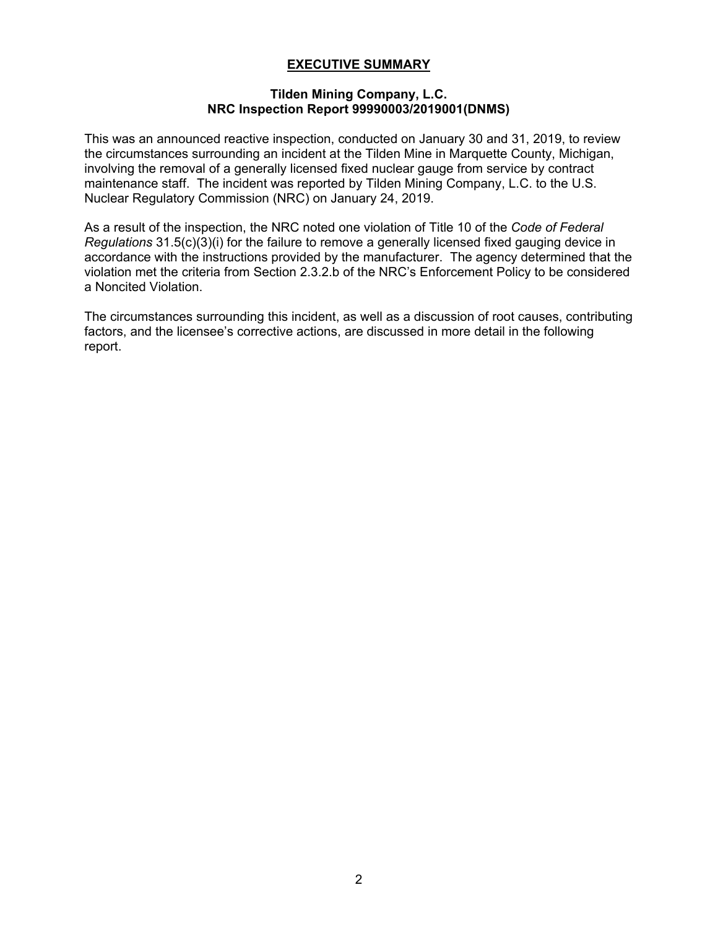## **EXECUTIVE SUMMARY**

### **Tilden Mining Company, L.C. NRC Inspection Report 99990003/2019001(DNMS)**

This was an announced reactive inspection, conducted on January 30 and 31, 2019, to review the circumstances surrounding an incident at the Tilden Mine in Marquette County, Michigan, involving the removal of a generally licensed fixed nuclear gauge from service by contract maintenance staff. The incident was reported by Tilden Mining Company, L.C. to the U.S. Nuclear Regulatory Commission (NRC) on January 24, 2019.

As a result of the inspection, the NRC noted one violation of Title 10 of the *Code of Federal Regulations* 31.5(c)(3)(i) for the failure to remove a generally licensed fixed gauging device in accordance with the instructions provided by the manufacturer. The agency determined that the violation met the criteria from Section 2.3.2.b of the NRC's Enforcement Policy to be considered a Noncited Violation.

The circumstances surrounding this incident, as well as a discussion of root causes, contributing factors, and the licensee's corrective actions, are discussed in more detail in the following report.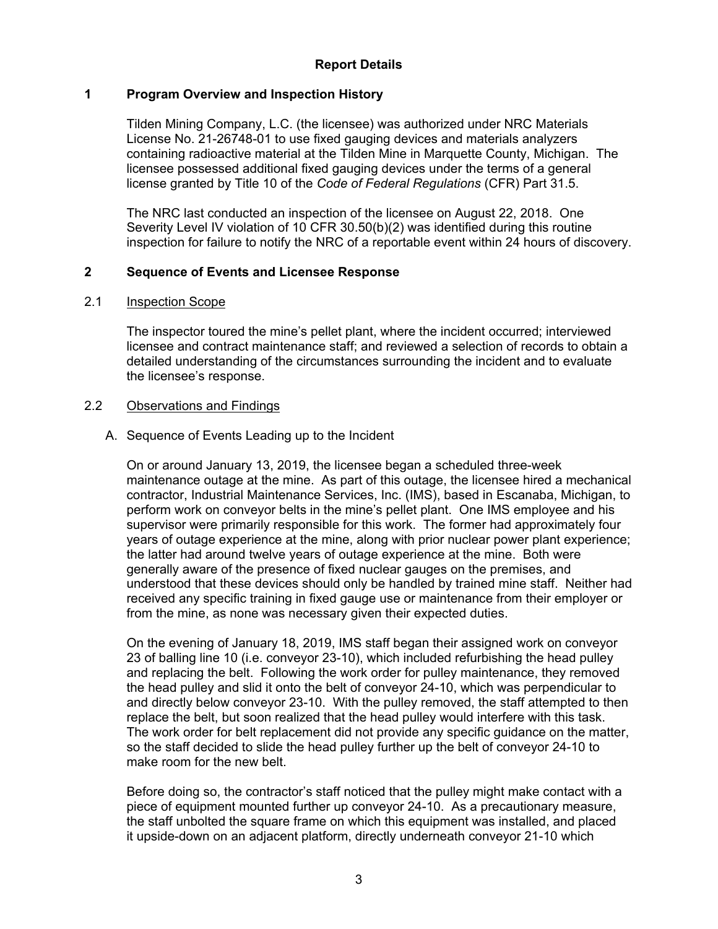## **Report Details**

## **1 Program Overview and Inspection History**

Tilden Mining Company, L.C. (the licensee) was authorized under NRC Materials License No. 21-26748-01 to use fixed gauging devices and materials analyzers containing radioactive material at the Tilden Mine in Marquette County, Michigan. The licensee possessed additional fixed gauging devices under the terms of a general license granted by Title 10 of the *Code of Federal Regulations* (CFR) Part 31.5.

The NRC last conducted an inspection of the licensee on August 22, 2018. One Severity Level IV violation of 10 CFR 30.50(b)(2) was identified during this routine inspection for failure to notify the NRC of a reportable event within 24 hours of discovery.

## **2 Sequence of Events and Licensee Response**

### 2.1 Inspection Scope

The inspector toured the mine's pellet plant, where the incident occurred; interviewed licensee and contract maintenance staff; and reviewed a selection of records to obtain a detailed understanding of the circumstances surrounding the incident and to evaluate the licensee's response.

### 2.2 Observations and Findings

### A. Sequence of Events Leading up to the Incident

On or around January 13, 2019, the licensee began a scheduled three-week maintenance outage at the mine. As part of this outage, the licensee hired a mechanical contractor, Industrial Maintenance Services, Inc. (IMS), based in Escanaba, Michigan, to perform work on conveyor belts in the mine's pellet plant. One IMS employee and his supervisor were primarily responsible for this work. The former had approximately four years of outage experience at the mine, along with prior nuclear power plant experience; the latter had around twelve years of outage experience at the mine. Both were generally aware of the presence of fixed nuclear gauges on the premises, and understood that these devices should only be handled by trained mine staff. Neither had received any specific training in fixed gauge use or maintenance from their employer or from the mine, as none was necessary given their expected duties.

On the evening of January 18, 2019, IMS staff began their assigned work on conveyor 23 of balling line 10 (i.e. conveyor 23-10), which included refurbishing the head pulley and replacing the belt. Following the work order for pulley maintenance, they removed the head pulley and slid it onto the belt of conveyor 24-10, which was perpendicular to and directly below conveyor 23-10. With the pulley removed, the staff attempted to then replace the belt, but soon realized that the head pulley would interfere with this task. The work order for belt replacement did not provide any specific guidance on the matter, so the staff decided to slide the head pulley further up the belt of conveyor 24-10 to make room for the new belt.

Before doing so, the contractor's staff noticed that the pulley might make contact with a piece of equipment mounted further up conveyor 24-10. As a precautionary measure, the staff unbolted the square frame on which this equipment was installed, and placed it upside-down on an adjacent platform, directly underneath conveyor 21-10 which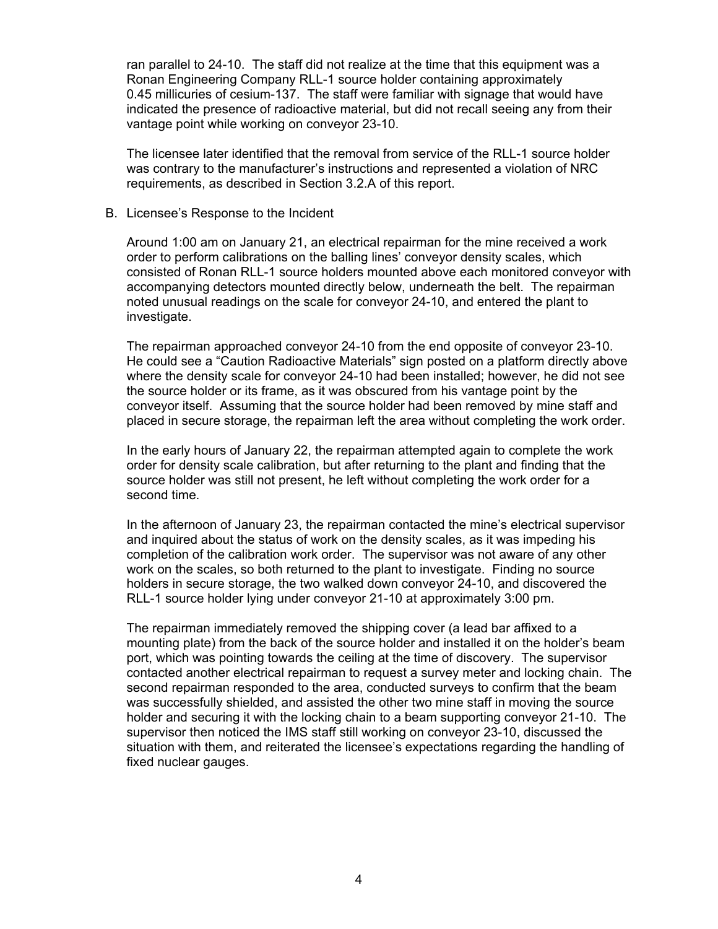ran parallel to 24-10. The staff did not realize at the time that this equipment was a Ronan Engineering Company RLL-1 source holder containing approximately 0.45 millicuries of cesium-137. The staff were familiar with signage that would have indicated the presence of radioactive material, but did not recall seeing any from their vantage point while working on conveyor 23-10.

The licensee later identified that the removal from service of the RLL-1 source holder was contrary to the manufacturer's instructions and represented a violation of NRC requirements, as described in Section 3.2.A of this report.

#### B. Licensee's Response to the Incident

Around 1:00 am on January 21, an electrical repairman for the mine received a work order to perform calibrations on the balling lines' conveyor density scales, which consisted of Ronan RLL-1 source holders mounted above each monitored conveyor with accompanying detectors mounted directly below, underneath the belt. The repairman noted unusual readings on the scale for conveyor 24-10, and entered the plant to investigate.

The repairman approached conveyor 24-10 from the end opposite of conveyor 23-10. He could see a "Caution Radioactive Materials" sign posted on a platform directly above where the density scale for conveyor 24-10 had been installed; however, he did not see the source holder or its frame, as it was obscured from his vantage point by the conveyor itself. Assuming that the source holder had been removed by mine staff and placed in secure storage, the repairman left the area without completing the work order.

In the early hours of January 22, the repairman attempted again to complete the work order for density scale calibration, but after returning to the plant and finding that the source holder was still not present, he left without completing the work order for a second time.

In the afternoon of January 23, the repairman contacted the mine's electrical supervisor and inquired about the status of work on the density scales, as it was impeding his completion of the calibration work order. The supervisor was not aware of any other work on the scales, so both returned to the plant to investigate. Finding no source holders in secure storage, the two walked down conveyor 24-10, and discovered the RLL-1 source holder lying under conveyor 21-10 at approximately 3:00 pm.

The repairman immediately removed the shipping cover (a lead bar affixed to a mounting plate) from the back of the source holder and installed it on the holder's beam port, which was pointing towards the ceiling at the time of discovery. The supervisor contacted another electrical repairman to request a survey meter and locking chain. The second repairman responded to the area, conducted surveys to confirm that the beam was successfully shielded, and assisted the other two mine staff in moving the source holder and securing it with the locking chain to a beam supporting conveyor 21-10. The supervisor then noticed the IMS staff still working on conveyor 23-10, discussed the situation with them, and reiterated the licensee's expectations regarding the handling of fixed nuclear gauges.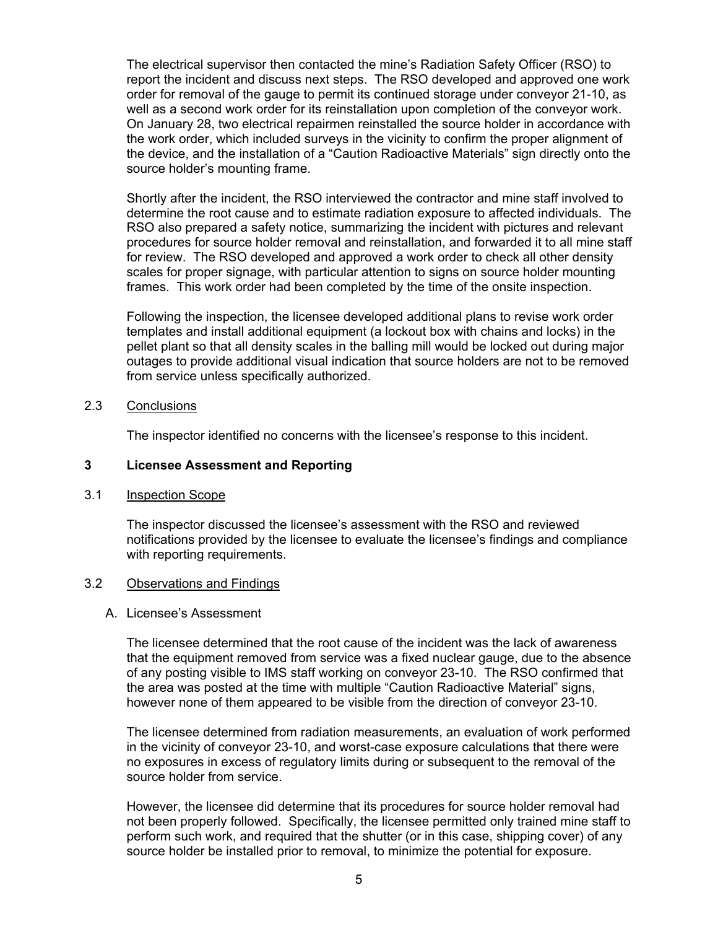The electrical supervisor then contacted the mine's Radiation Safety Officer (RSO) to report the incident and discuss next steps. The RSO developed and approved one work order for removal of the gauge to permit its continued storage under conveyor 21-10, as well as a second work order for its reinstallation upon completion of the conveyor work. On January 28, two electrical repairmen reinstalled the source holder in accordance with the work order, which included surveys in the vicinity to confirm the proper alignment of the device, and the installation of a "Caution Radioactive Materials" sign directly onto the source holder's mounting frame.

Shortly after the incident, the RSO interviewed the contractor and mine staff involved to determine the root cause and to estimate radiation exposure to affected individuals. The RSO also prepared a safety notice, summarizing the incident with pictures and relevant procedures for source holder removal and reinstallation, and forwarded it to all mine staff for review. The RSO developed and approved a work order to check all other density scales for proper signage, with particular attention to signs on source holder mounting frames. This work order had been completed by the time of the onsite inspection.

Following the inspection, the licensee developed additional plans to revise work order templates and install additional equipment (a lockout box with chains and locks) in the pellet plant so that all density scales in the balling mill would be locked out during major outages to provide additional visual indication that source holders are not to be removed from service unless specifically authorized.

### 2.3 Conclusions

The inspector identified no concerns with the licensee's response to this incident.

### **3 Licensee Assessment and Reporting**

### 3.1 Inspection Scope

The inspector discussed the licensee's assessment with the RSO and reviewed notifications provided by the licensee to evaluate the licensee's findings and compliance with reporting requirements.

### 3.2 Observations and Findings

### A. Licensee's Assessment

The licensee determined that the root cause of the incident was the lack of awareness that the equipment removed from service was a fixed nuclear gauge, due to the absence of any posting visible to IMS staff working on conveyor 23-10. The RSO confirmed that the area was posted at the time with multiple "Caution Radioactive Material" signs, however none of them appeared to be visible from the direction of conveyor 23-10.

The licensee determined from radiation measurements, an evaluation of work performed in the vicinity of conveyor 23-10, and worst-case exposure calculations that there were no exposures in excess of regulatory limits during or subsequent to the removal of the source holder from service.

However, the licensee did determine that its procedures for source holder removal had not been properly followed. Specifically, the licensee permitted only trained mine staff to perform such work, and required that the shutter (or in this case, shipping cover) of any source holder be installed prior to removal, to minimize the potential for exposure.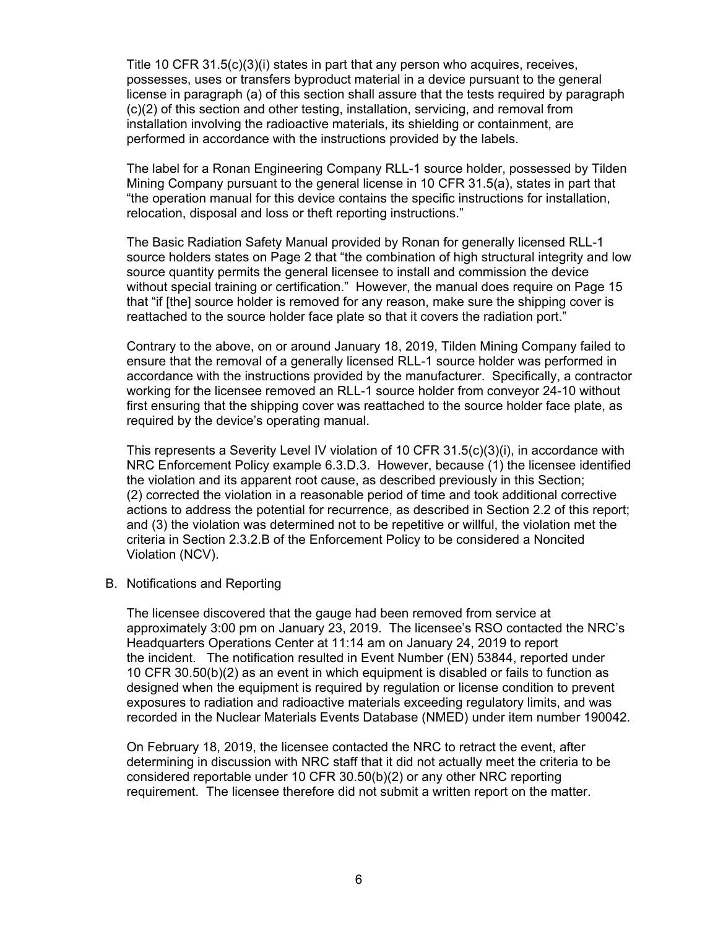Title 10 CFR 31.5(c)(3)(i) states in part that any person who acquires, receives, possesses, uses or transfers byproduct material in a device pursuant to the general license in paragraph (a) of this section shall assure that the tests required by paragraph (c)(2) of this section and other testing, installation, servicing, and removal from installation involving the radioactive materials, its shielding or containment, are performed in accordance with the instructions provided by the labels.

The label for a Ronan Engineering Company RLL-1 source holder, possessed by Tilden Mining Company pursuant to the general license in 10 CFR 31.5(a), states in part that "the operation manual for this device contains the specific instructions for installation, relocation, disposal and loss or theft reporting instructions."

The Basic Radiation Safety Manual provided by Ronan for generally licensed RLL-1 source holders states on Page 2 that "the combination of high structural integrity and low source quantity permits the general licensee to install and commission the device without special training or certification." However, the manual does require on Page 15 that "if [the] source holder is removed for any reason, make sure the shipping cover is reattached to the source holder face plate so that it covers the radiation port."

Contrary to the above, on or around January 18, 2019, Tilden Mining Company failed to ensure that the removal of a generally licensed RLL-1 source holder was performed in accordance with the instructions provided by the manufacturer. Specifically, a contractor working for the licensee removed an RLL-1 source holder from conveyor 24-10 without first ensuring that the shipping cover was reattached to the source holder face plate, as required by the device's operating manual.

This represents a Severity Level IV violation of 10 CFR 31.5(c)(3)(i), in accordance with NRC Enforcement Policy example 6.3.D.3. However, because (1) the licensee identified the violation and its apparent root cause, as described previously in this Section; (2) corrected the violation in a reasonable period of time and took additional corrective actions to address the potential for recurrence, as described in Section 2.2 of this report; and (3) the violation was determined not to be repetitive or willful, the violation met the criteria in Section 2.3.2.B of the Enforcement Policy to be considered a Noncited Violation (NCV).

B. Notifications and Reporting

The licensee discovered that the gauge had been removed from service at approximately 3:00 pm on January 23, 2019. The licensee's RSO contacted the NRC's Headquarters Operations Center at 11:14 am on January 24, 2019 to report the incident. The notification resulted in Event Number (EN) 53844, reported under 10 CFR 30.50(b)(2) as an event in which equipment is disabled or fails to function as designed when the equipment is required by regulation or license condition to prevent exposures to radiation and radioactive materials exceeding regulatory limits, and was recorded in the Nuclear Materials Events Database (NMED) under item number 190042.

On February 18, 2019, the licensee contacted the NRC to retract the event, after determining in discussion with NRC staff that it did not actually meet the criteria to be considered reportable under 10 CFR 30.50(b)(2) or any other NRC reporting requirement. The licensee therefore did not submit a written report on the matter.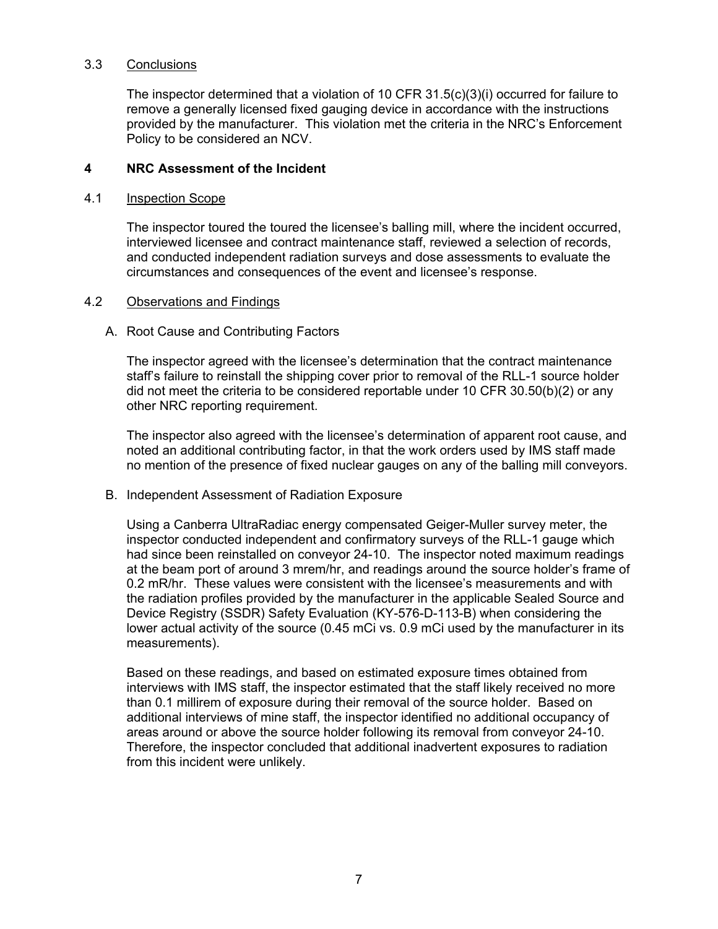### 3.3 Conclusions

The inspector determined that a violation of 10 CFR 31.5(c)(3)(i) occurred for failure to remove a generally licensed fixed gauging device in accordance with the instructions provided by the manufacturer. This violation met the criteria in the NRC's Enforcement Policy to be considered an NCV.

### **4 NRC Assessment of the Incident**

### 4.1 Inspection Scope

The inspector toured the toured the licensee's balling mill, where the incident occurred, interviewed licensee and contract maintenance staff, reviewed a selection of records, and conducted independent radiation surveys and dose assessments to evaluate the circumstances and consequences of the event and licensee's response.

### 4.2 Observations and Findings

### A. Root Cause and Contributing Factors

The inspector agreed with the licensee's determination that the contract maintenance staff's failure to reinstall the shipping cover prior to removal of the RLL-1 source holder did not meet the criteria to be considered reportable under 10 CFR 30.50(b)(2) or any other NRC reporting requirement.

The inspector also agreed with the licensee's determination of apparent root cause, and noted an additional contributing factor, in that the work orders used by IMS staff made no mention of the presence of fixed nuclear gauges on any of the balling mill conveyors.

### B. Independent Assessment of Radiation Exposure

Using a Canberra UltraRadiac energy compensated Geiger-Muller survey meter, the inspector conducted independent and confirmatory surveys of the RLL-1 gauge which had since been reinstalled on conveyor 24-10. The inspector noted maximum readings at the beam port of around 3 mrem/hr, and readings around the source holder's frame of 0.2 mR/hr. These values were consistent with the licensee's measurements and with the radiation profiles provided by the manufacturer in the applicable Sealed Source and Device Registry (SSDR) Safety Evaluation (KY-576-D-113-B) when considering the lower actual activity of the source (0.45 mCi vs. 0.9 mCi used by the manufacturer in its measurements).

Based on these readings, and based on estimated exposure times obtained from interviews with IMS staff, the inspector estimated that the staff likely received no more than 0.1 millirem of exposure during their removal of the source holder. Based on additional interviews of mine staff, the inspector identified no additional occupancy of areas around or above the source holder following its removal from conveyor 24-10. Therefore, the inspector concluded that additional inadvertent exposures to radiation from this incident were unlikely.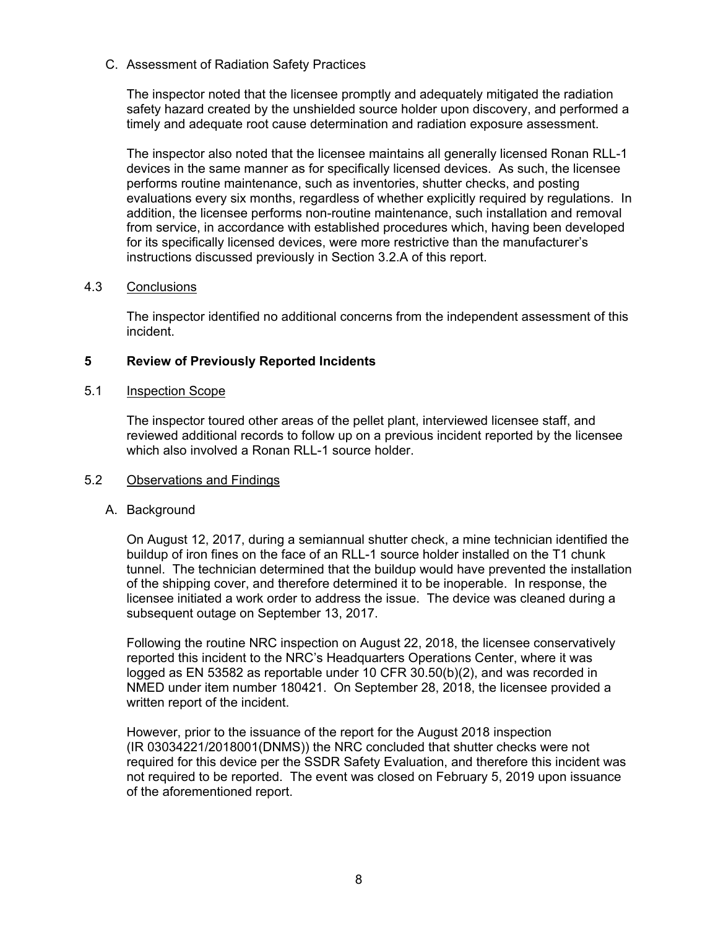C. Assessment of Radiation Safety Practices

The inspector noted that the licensee promptly and adequately mitigated the radiation safety hazard created by the unshielded source holder upon discovery, and performed a timely and adequate root cause determination and radiation exposure assessment.

The inspector also noted that the licensee maintains all generally licensed Ronan RLL-1 devices in the same manner as for specifically licensed devices. As such, the licensee performs routine maintenance, such as inventories, shutter checks, and posting evaluations every six months, regardless of whether explicitly required by regulations. In addition, the licensee performs non-routine maintenance, such installation and removal from service, in accordance with established procedures which, having been developed for its specifically licensed devices, were more restrictive than the manufacturer's instructions discussed previously in Section 3.2.A of this report.

### 4.3 Conclusions

The inspector identified no additional concerns from the independent assessment of this incident.

## **5 Review of Previously Reported Incidents**

### 5.1 Inspection Scope

The inspector toured other areas of the pellet plant, interviewed licensee staff, and reviewed additional records to follow up on a previous incident reported by the licensee which also involved a Ronan RLL-1 source holder.

### 5.2 Observations and Findings

### A. Background

On August 12, 2017, during a semiannual shutter check, a mine technician identified the buildup of iron fines on the face of an RLL-1 source holder installed on the T1 chunk tunnel. The technician determined that the buildup would have prevented the installation of the shipping cover, and therefore determined it to be inoperable. In response, the licensee initiated a work order to address the issue. The device was cleaned during a subsequent outage on September 13, 2017.

Following the routine NRC inspection on August 22, 2018, the licensee conservatively reported this incident to the NRC's Headquarters Operations Center, where it was logged as EN 53582 as reportable under 10 CFR 30.50(b)(2), and was recorded in NMED under item number 180421. On September 28, 2018, the licensee provided a written report of the incident.

However, prior to the issuance of the report for the August 2018 inspection (IR 03034221/2018001(DNMS)) the NRC concluded that shutter checks were not required for this device per the SSDR Safety Evaluation, and therefore this incident was not required to be reported. The event was closed on February 5, 2019 upon issuance of the aforementioned report.